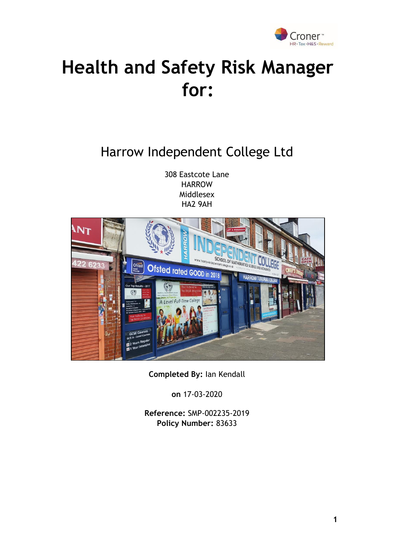

## **Health and Safety Risk Manager for:**

## Harrow Independent College Ltd

308 Eastcote Lane **HARROW** Middlesex HA2 9AH



**Completed By:** Ian Kendall

**on** 17-03-2020

**Reference:** SMP-002235-2019 **Policy Number:** 83633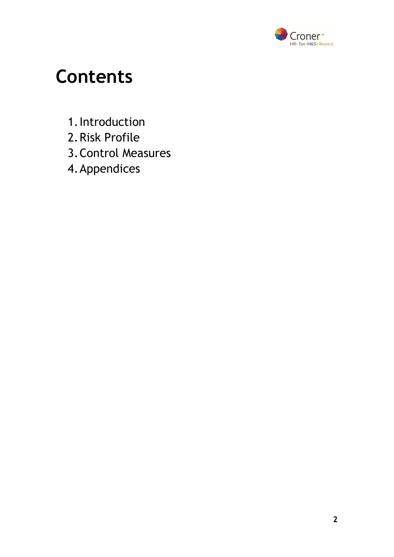

## **Contents**

- 1.Introduction
- 2.Risk Profile
- 3.Control Measures
- 4.Appendices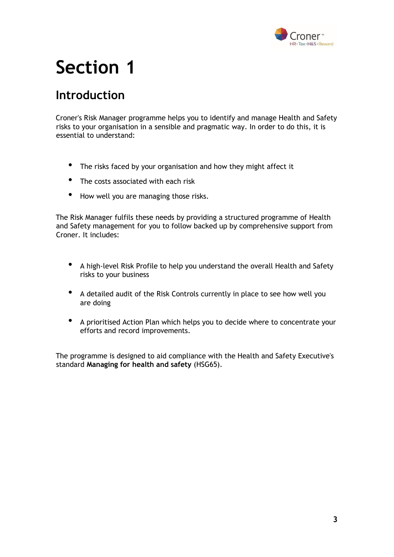

## **Section 1**

### **Introduction**

Croner's Risk Manager programme helps you to identify and manage Health and Safety risks to your organisation in a sensible and pragmatic way. In order to do this, it is essential to understand:

- The risks faced by your organisation and how they might affect it
- The costs associated with each risk
- How well you are managing those risks.

The Risk Manager fulfils these needs by providing a structured programme of Health and Safety management for you to follow backed up by comprehensive support from Croner. It includes:

- A high-level Risk Profile to help you understand the overall Health and Safety risks to your business
- A detailed audit of the Risk Controls currently in place to see how well you are doing
- A prioritised Action Plan which helps you to decide where to concentrate your efforts and record improvements.

The programme is designed to aid compliance with the Health and Safety Executive's standard **Managing for health and safety** (HSG65).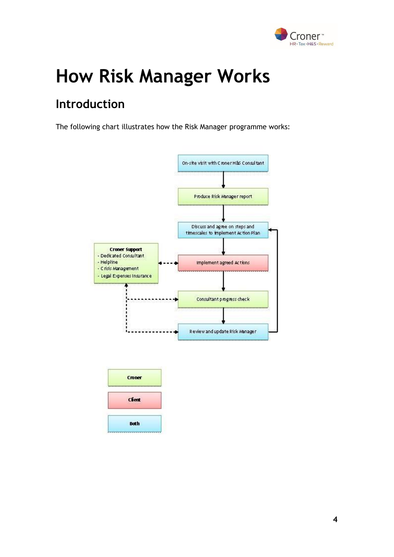

# **How Risk Manager Works**

## **Introduction**

The following chart illustrates how the Risk Manager programme works:



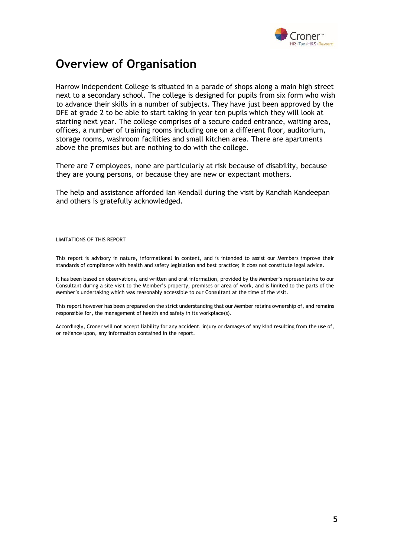

### **Overview of Organisation**

Harrow Independent College is situated in a parade of shops along a main high street next to a secondary school. The college is designed for pupils from six form who wish to advance their skills in a number of subjects. They have just been approved by the DFE at grade 2 to be able to start taking in year ten pupils which they will look at starting next year. The college comprises of a secure coded entrance, waiting area, offices, a number of training rooms including one on a different floor, auditorium, storage rooms, washroom facilities and small kitchen area. There are apartments above the premises but are nothing to do with the college.

There are 7 employees, none are particularly at risk because of disability, because they are young persons, or because they are new or expectant mothers.

The help and assistance afforded Ian Kendall during the visit by Kandiah Kandeepan and others is gratefully acknowledged.

LIMITATIONS OF THIS REPORT

This report is advisory in nature, informational in content, and is intended to assist our Members improve their standards of compliance with health and safety legislation and best practice; it does not constitute legal advice.

It has been based on observations, and written and oral information, provided by the Member's representative to our Consultant during a site visit to the Member's property, premises or area of work, and is limited to the parts of the Member's undertaking which was reasonably accessible to our Consultant at the time of the visit.

This report however has been prepared on the strict understanding that our Member retains ownership of, and remains responsible for, the management of health and safety in its workplace(s).

Accordingly, Croner will not accept liability for any accident, injury or damages of any kind resulting from the use of, or reliance upon, any information contained in the report.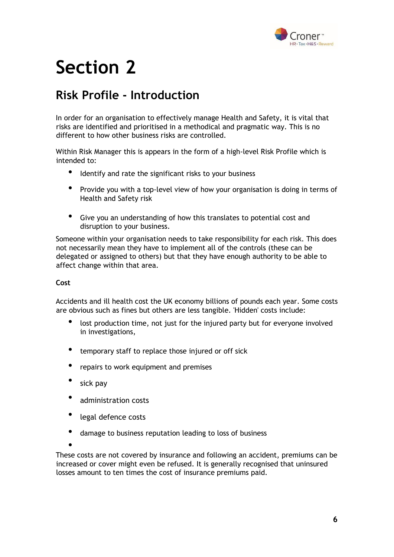

## **Section 2**

### **Risk Profile - Introduction**

In order for an organisation to effectively manage Health and Safety, it is vital that risks are identified and prioritised in a methodical and pragmatic way. This is no different to how other business risks are controlled.

Within Risk Manager this is appears in the form of a high-level Risk Profile which is intended to:

- Identify and rate the significant risks to your business
- Provide you with a top-level view of how your organisation is doing in terms of Health and Safety risk
- Give you an understanding of how this translates to potential cost and disruption to your business.

Someone within your organisation needs to take responsibility for each risk. This does not necessarily mean they have to implement all of the controls (these can be delegated or assigned to others) but that they have enough authority to be able to affect change within that area.

#### **Cost**

Accidents and ill health cost the UK economy billions of pounds each year. Some costs are obvious such as fines but others are less tangible. 'Hidden' costs include:

- lost production time, not just for the injured party but for everyone involved in investigations,
- temporary staff to replace those injured or off sick
- repairs to work equipment and premises
- sick pay
- administration costs
- legal defence costs
- damage to business reputation leading to loss of business

•

These costs are not covered by insurance and following an accident, premiums can be increased or cover might even be refused. It is generally recognised that uninsured losses amount to ten times the cost of insurance premiums paid.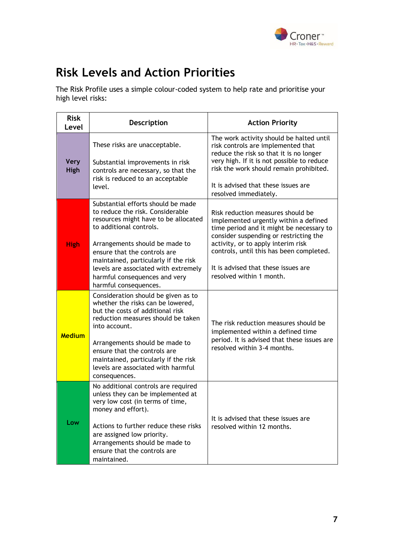

## **Risk Levels and Action Priorities**

The Risk Profile uses a simple colour-coded system to help rate and prioritise your high level risks:

| <b>Risk</b><br>Level       | <b>Description</b>                                                                                                                                                                                                                                                                                                                                    | <b>Action Priority</b>                                                                                                                                                                                                                                                                                                |
|----------------------------|-------------------------------------------------------------------------------------------------------------------------------------------------------------------------------------------------------------------------------------------------------------------------------------------------------------------------------------------------------|-----------------------------------------------------------------------------------------------------------------------------------------------------------------------------------------------------------------------------------------------------------------------------------------------------------------------|
| <b>Very</b><br><b>High</b> | These risks are unacceptable.<br>Substantial improvements in risk<br>controls are necessary, so that the<br>risk is reduced to an acceptable<br>level.                                                                                                                                                                                                | The work activity should be halted until<br>risk controls are implemented that<br>reduce the risk so that it is no longer<br>very high. If it is not possible to reduce<br>risk the work should remain prohibited.<br>It is advised that these issues are<br>resolved immediately.                                    |
| <b>High</b>                | Substantial efforts should be made<br>to reduce the risk. Considerable<br>resources might have to be allocated<br>to additional controls.<br>Arrangements should be made to<br>ensure that the controls are<br>maintained, particularly if the risk<br>levels are associated with extremely<br>harmful consequences and very<br>harmful consequences. | Risk reduction measures should be<br>implemented urgently within a defined<br>time period and it might be necessary to<br>consider suspending or restricting the<br>activity, or to apply interim risk<br>controls, until this has been completed.<br>It is advised that these issues are<br>resolved within 1 month. |
| <b>Medium</b>              | Consideration should be given as to<br>whether the risks can be lowered,<br>but the costs of additional risk<br>reduction measures should be taken<br>into account.<br>Arrangements should be made to<br>ensure that the controls are<br>maintained, particularly if the risk<br>levels are associated with harmful<br>consequences.                  | The risk reduction measures should be<br>implemented within a defined time<br>period. It is advised that these issues are<br>resolved within 3-4 months.                                                                                                                                                              |
| Low                        | No additional controls are required<br>unless they can be implemented at<br>very low cost (in terms of time,<br>money and effort).<br>Actions to further reduce these risks<br>are assigned low priority.<br>Arrangements should be made to<br>ensure that the controls are<br>maintained.                                                            | It is advised that these issues are<br>resolved within 12 months.                                                                                                                                                                                                                                                     |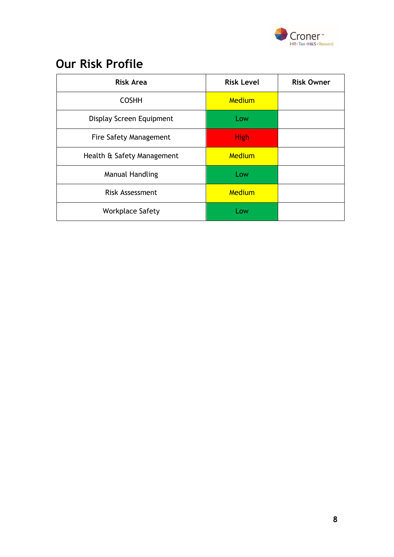

## **Our Risk Profile**

| <b>Risk Area</b>              | <b>Risk Level</b> | <b>Risk Owner</b> |
|-------------------------------|-------------------|-------------------|
| <b>COSHH</b>                  | Medium            |                   |
| Display Screen Equipment      | Low               |                   |
| <b>Fire Safety Management</b> | <b>High</b>       |                   |
| Health & Safety Management    | Medium            |                   |
| <b>Manual Handling</b>        | Low               |                   |
| <b>Risk Assessment</b>        | Medium            |                   |
| <b>Workplace Safety</b>       | Low               |                   |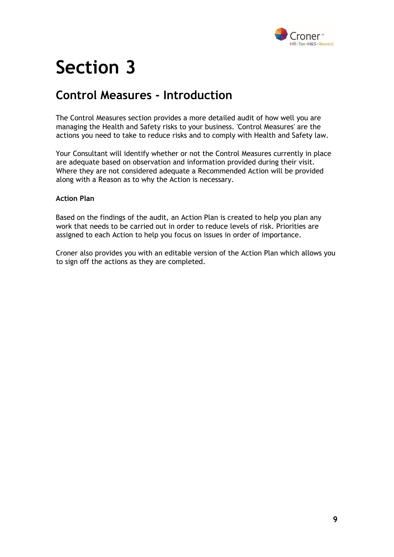

## **Section 3**

### **Control Measures - Introduction**

The Control Measures section provides a more detailed audit of how well you are managing the Health and Safety risks to your business. 'Control Measures' are the actions you need to take to reduce risks and to comply with Health and Safety law.

Your Consultant will identify whether or not the Control Measures currently in place are adequate based on observation and information provided during their visit. Where they are not considered adequate a Recommended Action will be provided along with a Reason as to why the Action is necessary.

#### **Action Plan**

Based on the findings of the audit, an Action Plan is created to help you plan any work that needs to be carried out in order to reduce levels of risk. Priorities are assigned to each Action to help you focus on issues in order of importance.

Croner also provides you with an editable version of the Action Plan which allows you to sign off the actions as they are completed.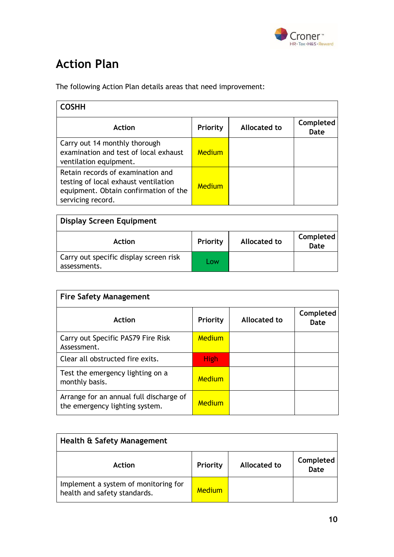

## **Action Plan**

The following Action Plan details areas that need improvement:

| <b>COSHH</b>                                                                                                                            |                 |              |                   |
|-----------------------------------------------------------------------------------------------------------------------------------------|-----------------|--------------|-------------------|
| Action                                                                                                                                  | <b>Priority</b> | Allocated to | Completed<br>Date |
| Carry out 14 monthly thorough<br>examination and test of local exhaust<br>ventilation equipment.                                        | Medium          |              |                   |
| Retain records of examination and<br>testing of local exhaust ventilation<br>equipment. Obtain confirmation of the<br>servicing record. | Medium          |              |                   |

| <b>Display Screen Equipment</b>                        |          |              |                   |  |  |
|--------------------------------------------------------|----------|--------------|-------------------|--|--|
| <b>Action</b>                                          | Priority | Allocated to | Completed<br>Date |  |  |
| Carry out specific display screen risk<br>assessments. | Low      |              |                   |  |  |

| <b>Fire Safety Management</b>                                             |             |              |                   |  |  |
|---------------------------------------------------------------------------|-------------|--------------|-------------------|--|--|
| <b>Action</b>                                                             | Priority    | Allocated to | Completed<br>Date |  |  |
| Carry out Specific PAS79 Fire Risk<br>Assessment.                         | Medium      |              |                   |  |  |
| Clear all obstructed fire exits.                                          | <b>High</b> |              |                   |  |  |
| Test the emergency lighting on a<br>monthly basis.                        | Medium      |              |                   |  |  |
| Arrange for an annual full discharge of<br>the emergency lighting system. | Medium      |              |                   |  |  |

| Health & Safety Management                                           |          |              |                          |  |  |
|----------------------------------------------------------------------|----------|--------------|--------------------------|--|--|
| Action                                                               | Priority | Allocated to | Completed<br><b>Date</b> |  |  |
| Implement a system of monitoring for<br>health and safety standards. | Medium   |              |                          |  |  |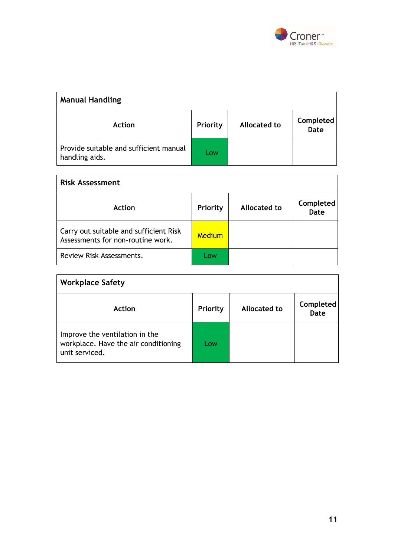

| <b>Manual Handling</b>                                   |          |                     |                          |  |  |
|----------------------------------------------------------|----------|---------------------|--------------------------|--|--|
| <b>Action</b>                                            | Priority | <b>Allocated to</b> | Completed<br><b>Date</b> |  |  |
| Provide suitable and sufficient manual<br>handling aids. | Low      |                     |                          |  |  |

| <b>Risk Assessment</b>                                                      |               |              |                   |  |  |
|-----------------------------------------------------------------------------|---------------|--------------|-------------------|--|--|
| <b>Action</b>                                                               | Priority      | Allocated to | Completed<br>Date |  |  |
| Carry out suitable and sufficient Risk<br>Assessments for non-routine work. | <b>Medium</b> |              |                   |  |  |
| Review Risk Assessments.                                                    | l ow          |              |                   |  |  |

| <b>Workplace Safety</b>                                                                  |          |                     |                   |  |  |
|------------------------------------------------------------------------------------------|----------|---------------------|-------------------|--|--|
| Action                                                                                   | Priority | <b>Allocated to</b> | Completed<br>Date |  |  |
| Improve the ventilation in the<br>workplace. Have the air conditioning<br>unit serviced. | Low      |                     |                   |  |  |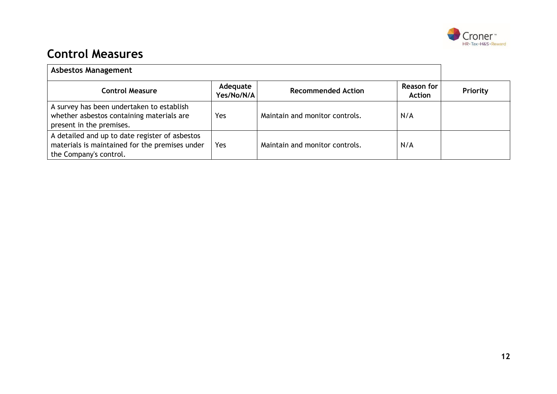

### **Control Measures**

| <b>Asbestos Management</b>                                                                                                 |                        |                                |                             |          |  |
|----------------------------------------------------------------------------------------------------------------------------|------------------------|--------------------------------|-----------------------------|----------|--|
| <b>Control Measure</b>                                                                                                     | Adequate<br>Yes/No/N/A | <b>Recommended Action</b>      | Reason for<br><b>Action</b> | Priority |  |
| A survey has been undertaken to establish<br>whether asbestos containing materials are<br>present in the premises.         | Yes                    | Maintain and monitor controls. | N/A                         |          |  |
| A detailed and up to date register of asbestos<br>materials is maintained for the premises under<br>the Company's control. | Yes                    | Maintain and monitor controls. | N/A                         |          |  |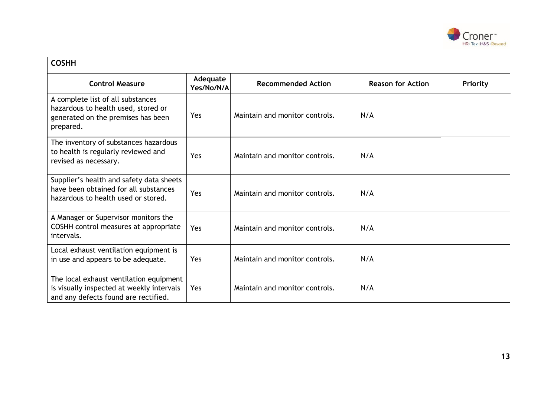

| <b>COSHH</b>                                                                                                                 |                        |                                |                          |          |  |
|------------------------------------------------------------------------------------------------------------------------------|------------------------|--------------------------------|--------------------------|----------|--|
| <b>Control Measure</b>                                                                                                       | Adequate<br>Yes/No/N/A | <b>Recommended Action</b>      | <b>Reason for Action</b> | Priority |  |
| A complete list of all substances<br>hazardous to health used, stored or<br>generated on the premises has been<br>prepared.  | Yes                    | Maintain and monitor controls. | N/A                      |          |  |
| The inventory of substances hazardous<br>to health is regularly reviewed and<br>revised as necessary.                        | Yes                    | Maintain and monitor controls. | N/A                      |          |  |
| Supplier's health and safety data sheets<br>have been obtained for all substances<br>hazardous to health used or stored.     | Yes                    | Maintain and monitor controls. | N/A                      |          |  |
| A Manager or Supervisor monitors the<br>COSHH control measures at appropriate<br>intervals.                                  | Yes                    | Maintain and monitor controls. | N/A                      |          |  |
| Local exhaust ventilation equipment is<br>in use and appears to be adequate.                                                 | Yes                    | Maintain and monitor controls. | N/A                      |          |  |
| The local exhaust ventilation equipment<br>is visually inspected at weekly intervals<br>and any defects found are rectified. | Yes                    | Maintain and monitor controls. | N/A                      |          |  |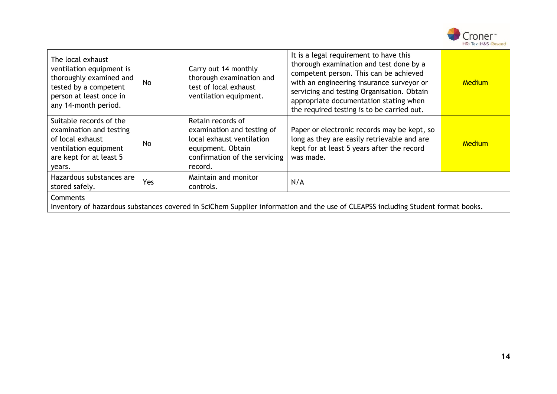

| The local exhaust<br>ventilation equipment is<br>thoroughly examined and<br>tested by a competent<br>person at least once in<br>any 14-month period. | <b>No</b> | Carry out 14 monthly<br>thorough examination and<br>test of local exhaust<br>ventilation equipment.                                           | It is a legal requirement to have this<br>thorough examination and test done by a<br>competent person. This can be achieved<br>with an engineering insurance surveyor or<br>servicing and testing Organisation. Obtain<br>appropriate documentation stating when<br>the required testing is to be carried out. | Medium        |  |  |
|------------------------------------------------------------------------------------------------------------------------------------------------------|-----------|-----------------------------------------------------------------------------------------------------------------------------------------------|----------------------------------------------------------------------------------------------------------------------------------------------------------------------------------------------------------------------------------------------------------------------------------------------------------------|---------------|--|--|
| Suitable records of the<br>examination and testing<br>of local exhaust<br>ventilation equipment<br>are kept for at least 5<br>years.                 | No        | Retain records of<br>examination and testing of<br>local exhaust ventilation<br>equipment. Obtain<br>confirmation of the servicing<br>record. | Paper or electronic records may be kept, so<br>long as they are easily retrievable and are<br>kept for at least 5 years after the record<br>was made.                                                                                                                                                          | <b>Medium</b> |  |  |
| Hazardous substances are<br>stored safely.                                                                                                           | Yes       | Maintain and monitor<br>controls.                                                                                                             | N/A                                                                                                                                                                                                                                                                                                            |               |  |  |
| Comments<br>Inventory of hazardous substances covered in SciChem Supplier information and the use of CLEAPSS including Student format books.         |           |                                                                                                                                               |                                                                                                                                                                                                                                                                                                                |               |  |  |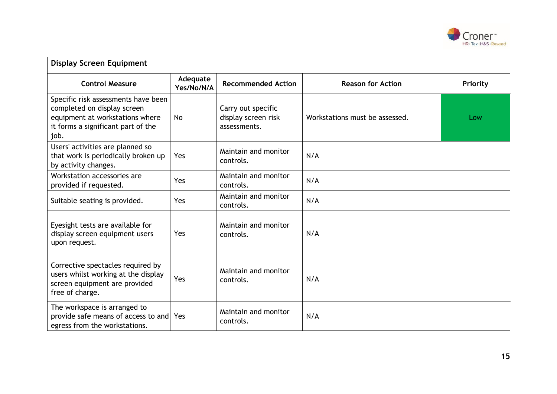

| <b>Display Screen Equipment</b>                                                                                                                     |                        |                                                           |                                |          |
|-----------------------------------------------------------------------------------------------------------------------------------------------------|------------------------|-----------------------------------------------------------|--------------------------------|----------|
| <b>Control Measure</b>                                                                                                                              | Adequate<br>Yes/No/N/A | <b>Recommended Action</b>                                 | <b>Reason for Action</b>       | Priority |
| Specific risk assessments have been<br>completed on display screen<br>equipment at workstations where<br>it forms a significant part of the<br>job. | No                     | Carry out specific<br>display screen risk<br>assessments. | Workstations must be assessed. | Low      |
| Users' activities are planned so<br>that work is periodically broken up<br>by activity changes.                                                     | Yes                    | Maintain and monitor<br>controls.                         | N/A                            |          |
| Workstation accessories are<br>provided if requested.                                                                                               | Yes                    | Maintain and monitor<br>controls.                         | N/A                            |          |
| Suitable seating is provided.                                                                                                                       | Yes                    | Maintain and monitor<br>controls.                         | N/A                            |          |
| Eyesight tests are available for<br>display screen equipment users<br>upon request.                                                                 | Yes                    | Maintain and monitor<br>controls.                         | N/A                            |          |
| Corrective spectacles required by<br>users whilst working at the display<br>screen equipment are provided<br>free of charge.                        | Yes                    | Maintain and monitor<br>controls.                         | N/A                            |          |
| The workspace is arranged to<br>provide safe means of access to and Yes<br>egress from the workstations.                                            |                        | Maintain and monitor<br>controls.                         | N/A                            |          |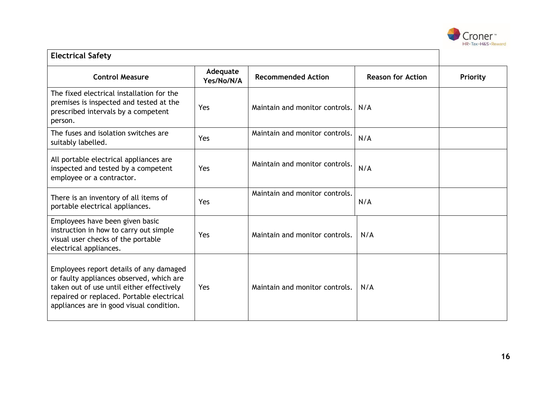

| <b>Electrical Safety</b>                                                                                                                                                                                                  |                        |                                |                          |          |
|---------------------------------------------------------------------------------------------------------------------------------------------------------------------------------------------------------------------------|------------------------|--------------------------------|--------------------------|----------|
| <b>Control Measure</b>                                                                                                                                                                                                    | Adequate<br>Yes/No/N/A | <b>Recommended Action</b>      | <b>Reason for Action</b> | Priority |
| The fixed electrical installation for the<br>premises is inspected and tested at the<br>prescribed intervals by a competent<br>person.                                                                                    | Yes                    | Maintain and monitor controls. | N/A                      |          |
| The fuses and isolation switches are<br>suitably labelled.                                                                                                                                                                | Yes                    | Maintain and monitor controls. | N/A                      |          |
| All portable electrical appliances are<br>inspected and tested by a competent<br>employee or a contractor.                                                                                                                | Yes                    | Maintain and monitor controls. | N/A                      |          |
| There is an inventory of all items of<br>portable electrical appliances.                                                                                                                                                  | Yes                    | Maintain and monitor controls. | N/A                      |          |
| Employees have been given basic<br>instruction in how to carry out simple<br>visual user checks of the portable<br>electrical appliances.                                                                                 | Yes                    | Maintain and monitor controls. | N/A                      |          |
| Employees report details of any damaged<br>or faulty appliances observed, which are<br>taken out of use until either effectively<br>repaired or replaced. Portable electrical<br>appliances are in good visual condition. | Yes                    | Maintain and monitor controls. | N/A                      |          |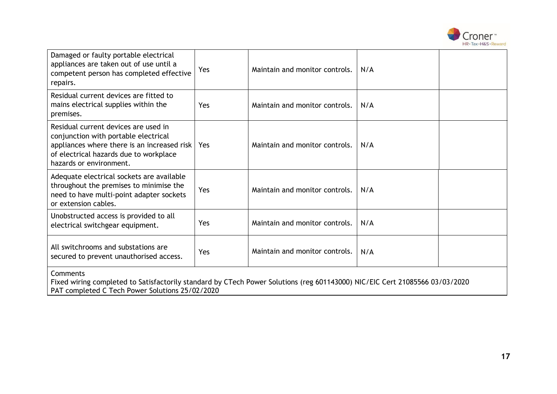

| Damaged or faulty portable electrical<br>appliances are taken out of use until a<br>competent person has completed effective<br>repairs.                                                         | Yes | Maintain and monitor controls. | N/A |  |  |
|--------------------------------------------------------------------------------------------------------------------------------------------------------------------------------------------------|-----|--------------------------------|-----|--|--|
| Residual current devices are fitted to<br>mains electrical supplies within the<br>premises.                                                                                                      | Yes | Maintain and monitor controls. | N/A |  |  |
| Residual current devices are used in<br>conjunction with portable electrical<br>appliances where there is an increased risk<br>of electrical hazards due to workplace<br>hazards or environment. | Yes | Maintain and monitor controls. | N/A |  |  |
| Adequate electrical sockets are available<br>throughout the premises to minimise the<br>need to have multi-point adapter sockets<br>or extension cables.                                         | Yes | Maintain and monitor controls. | N/A |  |  |
| Unobstructed access is provided to all<br>electrical switchgear equipment.                                                                                                                       | Yes | Maintain and monitor controls. | N/A |  |  |
| All switchrooms and substations are<br>secured to prevent unauthorised access.                                                                                                                   | Yes | Maintain and monitor controls. | N/A |  |  |
| Comments<br>Fixed wiring completed to Satisfactorily standard by CTech Power Solutions (reg 601143000) NIC/EIC Cert 21085566 03/03/2020                                                          |     |                                |     |  |  |

PAT completed C Tech Power Solutions 25/02/2020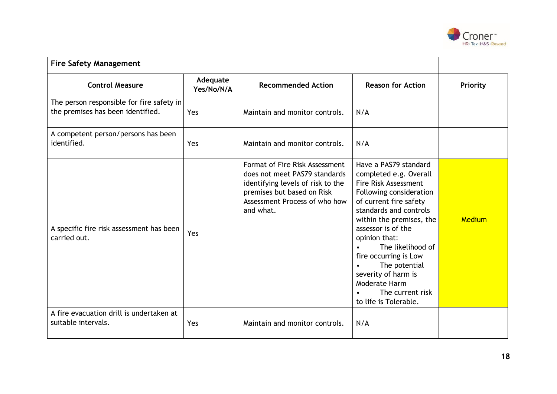

| <b>Fire Safety Management</b>                                                  |                        |                                                                                                                                                                                  |                                                                                                                                                                                                                                                                                                                                                                                                   |          |
|--------------------------------------------------------------------------------|------------------------|----------------------------------------------------------------------------------------------------------------------------------------------------------------------------------|---------------------------------------------------------------------------------------------------------------------------------------------------------------------------------------------------------------------------------------------------------------------------------------------------------------------------------------------------------------------------------------------------|----------|
| <b>Control Measure</b>                                                         | Adequate<br>Yes/No/N/A | <b>Recommended Action</b>                                                                                                                                                        | <b>Reason for Action</b>                                                                                                                                                                                                                                                                                                                                                                          | Priority |
| The person responsible for fire safety in<br>the premises has been identified. | Yes                    | Maintain and monitor controls.                                                                                                                                                   | N/A                                                                                                                                                                                                                                                                                                                                                                                               |          |
| A competent person/persons has been<br>identified.                             | Yes                    | Maintain and monitor controls.                                                                                                                                                   | N/A                                                                                                                                                                                                                                                                                                                                                                                               |          |
| A specific fire risk assessment has been<br>carried out.                       | Yes                    | Format of Fire Risk Assessment<br>does not meet PAS79 standards<br>identifying levels of risk to the<br>premises but based on Risk<br>Assessment Process of who how<br>and what. | Have a PAS79 standard<br>completed e.g. Overall<br><b>Fire Risk Assessment</b><br>Following consideration<br>of current fire safety<br>standards and controls<br>within the premises, the<br>assessor is of the<br>opinion that:<br>The likelihood of<br>$\bullet$<br>fire occurring is Low<br>The potential<br>severity of harm is<br>Moderate Harm<br>The current risk<br>to life is Tolerable. | Medium   |
| A fire evacuation drill is undertaken at<br>suitable intervals.                | Yes                    | Maintain and monitor controls.                                                                                                                                                   | N/A                                                                                                                                                                                                                                                                                                                                                                                               |          |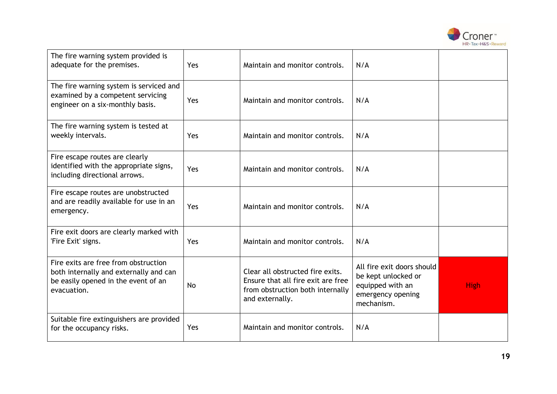

| The fire warning system provided is<br>adequate for the premises.                                                                    | Yes | Maintain and monitor controls.                                                                                                | N/A                                                                                                      |             |
|--------------------------------------------------------------------------------------------------------------------------------------|-----|-------------------------------------------------------------------------------------------------------------------------------|----------------------------------------------------------------------------------------------------------|-------------|
| The fire warning system is serviced and<br>examined by a competent servicing<br>engineer on a six-monthly basis.                     | Yes | Maintain and monitor controls.                                                                                                | N/A                                                                                                      |             |
| The fire warning system is tested at<br>weekly intervals.                                                                            | Yes | Maintain and monitor controls.                                                                                                | N/A                                                                                                      |             |
| Fire escape routes are clearly<br>identified with the appropriate signs,<br>including directional arrows.                            | Yes | Maintain and monitor controls.                                                                                                | N/A                                                                                                      |             |
| Fire escape routes are unobstructed<br>and are readily available for use in an<br>emergency.                                         | Yes | Maintain and monitor controls.                                                                                                | N/A                                                                                                      |             |
| Fire exit doors are clearly marked with<br>'Fire Exit' signs.                                                                        | Yes | Maintain and monitor controls.                                                                                                | N/A                                                                                                      |             |
| Fire exits are free from obstruction<br>both internally and externally and can<br>be easily opened in the event of an<br>evacuation. | No  | Clear all obstructed fire exits.<br>Ensure that all fire exit are free<br>from obstruction both internally<br>and externally. | All fire exit doors should<br>be kept unlocked or<br>equipped with an<br>emergency opening<br>mechanism. | <b>High</b> |
| Suitable fire extinguishers are provided<br>for the occupancy risks.                                                                 | Yes | Maintain and monitor controls.                                                                                                | N/A                                                                                                      |             |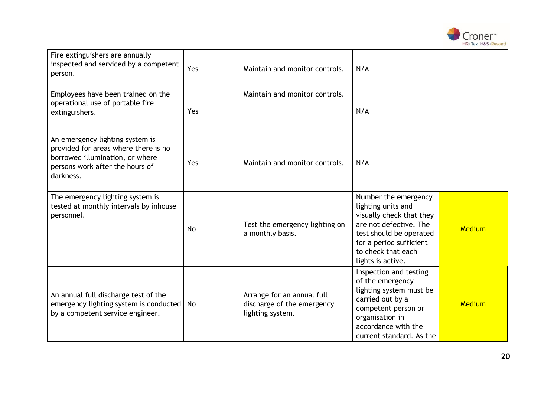

| Fire extinguishers are annually<br>inspected and serviced by a competent<br>person.                                                                        | Yes | Maintain and monitor controls.                                               | N/A                                                                                                                                                                                               |        |
|------------------------------------------------------------------------------------------------------------------------------------------------------------|-----|------------------------------------------------------------------------------|---------------------------------------------------------------------------------------------------------------------------------------------------------------------------------------------------|--------|
| Employees have been trained on the<br>operational use of portable fire<br>extinguishers.                                                                   | Yes | Maintain and monitor controls.                                               | N/A                                                                                                                                                                                               |        |
| An emergency lighting system is<br>provided for areas where there is no<br>borrowed illumination, or where<br>persons work after the hours of<br>darkness. | Yes | Maintain and monitor controls.                                               | N/A                                                                                                                                                                                               |        |
| The emergency lighting system is<br>tested at monthly intervals by inhouse<br>personnel.                                                                   | No  | Test the emergency lighting on<br>a monthly basis.                           | Number the emergency<br>lighting units and<br>visually check that they<br>are not defective. The<br>test should be operated<br>for a period sufficient<br>to check that each<br>lights is active. | Medium |
| An annual full discharge test of the<br>emergency lighting system is conducted<br>by a competent service engineer.                                         | No  | Arrange for an annual full<br>discharge of the emergency<br>lighting system. | Inspection and testing<br>of the emergency<br>lighting system must be<br>carried out by a<br>competent person or<br>organisation in<br>accordance with the<br>current standard. As the            | Medium |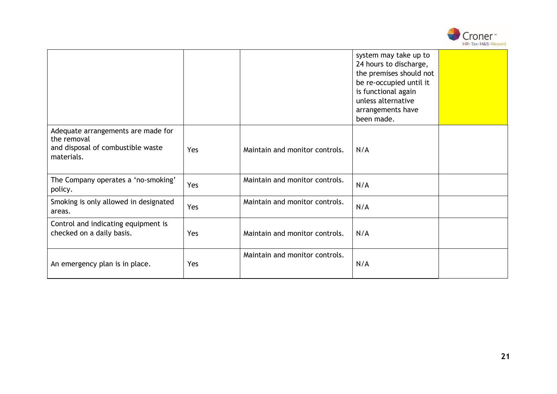

|                                                                                                      |     |                                | system may take up to<br>24 hours to discharge,<br>the premises should not<br>be re-occupied until it<br>is functional again<br>unless alternative<br>arrangements have<br>been made. |  |
|------------------------------------------------------------------------------------------------------|-----|--------------------------------|---------------------------------------------------------------------------------------------------------------------------------------------------------------------------------------|--|
| Adequate arrangements are made for<br>the removal<br>and disposal of combustible waste<br>materials. | Yes | Maintain and monitor controls. | N/A                                                                                                                                                                                   |  |
| The Company operates a 'no-smoking'<br>policy.                                                       | Yes | Maintain and monitor controls. | N/A                                                                                                                                                                                   |  |
| Smoking is only allowed in designated<br>areas.                                                      | Yes | Maintain and monitor controls. | N/A                                                                                                                                                                                   |  |
| Control and indicating equipment is<br>checked on a daily basis.                                     | Yes | Maintain and monitor controls. | N/A                                                                                                                                                                                   |  |
| An emergency plan is in place.                                                                       | Yes | Maintain and monitor controls. | N/A                                                                                                                                                                                   |  |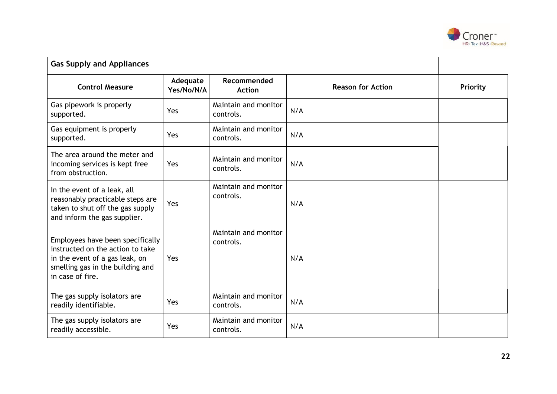

| <b>Gas Supply and Appliances</b>                                                                                                                               |                        |                                                          |     |          |  |
|----------------------------------------------------------------------------------------------------------------------------------------------------------------|------------------------|----------------------------------------------------------|-----|----------|--|
| <b>Control Measure</b>                                                                                                                                         | Adequate<br>Yes/No/N/A | Recommended<br><b>Reason for Action</b><br><b>Action</b> |     | Priority |  |
| Gas pipework is properly<br>supported.                                                                                                                         | Yes                    | Maintain and monitor<br>controls.                        | N/A |          |  |
| Gas equipment is properly<br>supported.                                                                                                                        | Yes                    | Maintain and monitor<br>controls.                        | N/A |          |  |
| The area around the meter and<br>incoming services is kept free<br>from obstruction.                                                                           | Yes                    | Maintain and monitor<br>controls.                        | N/A |          |  |
| In the event of a leak, all<br>reasonably practicable steps are<br>taken to shut off the gas supply<br>and inform the gas supplier.                            | Yes                    | Maintain and monitor<br>controls.                        | N/A |          |  |
| Employees have been specifically<br>instructed on the action to take<br>in the event of a gas leak, on<br>smelling gas in the building and<br>in case of fire. | Yes                    | Maintain and monitor<br>controls.                        | N/A |          |  |
| The gas supply isolators are<br>readily identifiable.                                                                                                          | Yes                    | Maintain and monitor<br>controls.                        | N/A |          |  |
| The gas supply isolators are<br>readily accessible.                                                                                                            | Yes                    | Maintain and monitor<br>controls.                        | N/A |          |  |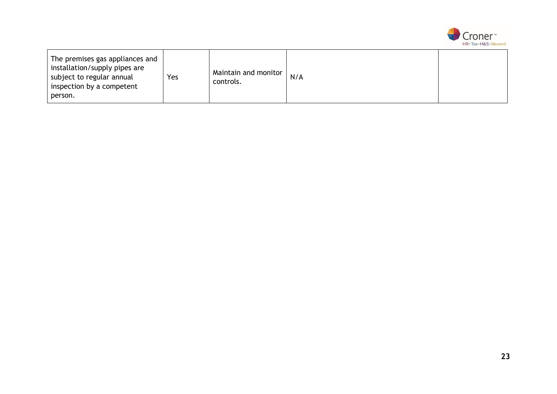

| The premises gas appliances and<br>installation/supply pipes are<br>Yes<br>subject to regular annual<br>inspection by a competent<br>person. | Maintain and monitor<br>controls. | N/A |  |
|----------------------------------------------------------------------------------------------------------------------------------------------|-----------------------------------|-----|--|
|----------------------------------------------------------------------------------------------------------------------------------------------|-----------------------------------|-----|--|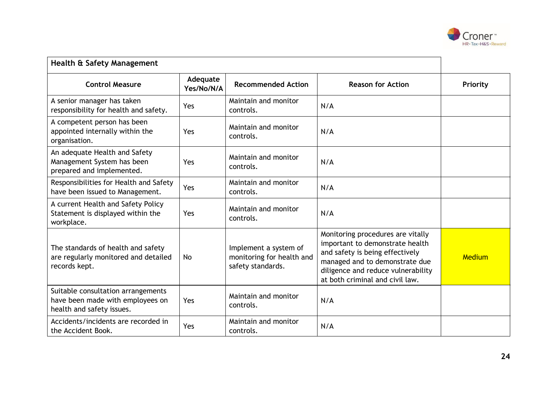

| Health & Safety Management                                                                          |                        |                                                                         |                                                                                                                                                                                                                    |          |
|-----------------------------------------------------------------------------------------------------|------------------------|-------------------------------------------------------------------------|--------------------------------------------------------------------------------------------------------------------------------------------------------------------------------------------------------------------|----------|
| <b>Control Measure</b>                                                                              | Adequate<br>Yes/No/N/A | <b>Recommended Action</b>                                               | <b>Reason for Action</b>                                                                                                                                                                                           | Priority |
| A senior manager has taken<br>responsibility for health and safety.                                 | Yes                    | Maintain and monitor<br>controls.                                       | N/A                                                                                                                                                                                                                |          |
| A competent person has been<br>appointed internally within the<br>organisation.                     | Yes                    | Maintain and monitor<br>controls.                                       | N/A                                                                                                                                                                                                                |          |
| An adequate Health and Safety<br>Management System has been<br>prepared and implemented.            | Yes                    | Maintain and monitor<br>controls.                                       | N/A                                                                                                                                                                                                                |          |
| Responsibilities for Health and Safety<br>have been issued to Management.                           | Yes                    | Maintain and monitor<br>controls.                                       | N/A                                                                                                                                                                                                                |          |
| A current Health and Safety Policy<br>Statement is displayed within the<br>workplace.               | Yes                    | Maintain and monitor<br>controls.                                       | N/A                                                                                                                                                                                                                |          |
| The standards of health and safety<br>are regularly monitored and detailed<br>records kept.         | No                     | Implement a system of<br>monitoring for health and<br>safety standards. | Monitoring procedures are vitally<br>important to demonstrate health<br>and safety is being effectively<br>managed and to demonstrate due<br>diligence and reduce vulnerability<br>at both criminal and civil law. | Medium   |
| Suitable consultation arrangements<br>have been made with employees on<br>health and safety issues. | Yes                    | Maintain and monitor<br>controls.                                       | N/A                                                                                                                                                                                                                |          |
| Accidents/incidents are recorded in<br>the Accident Book.                                           | Yes                    | Maintain and monitor<br>controls.                                       | N/A                                                                                                                                                                                                                |          |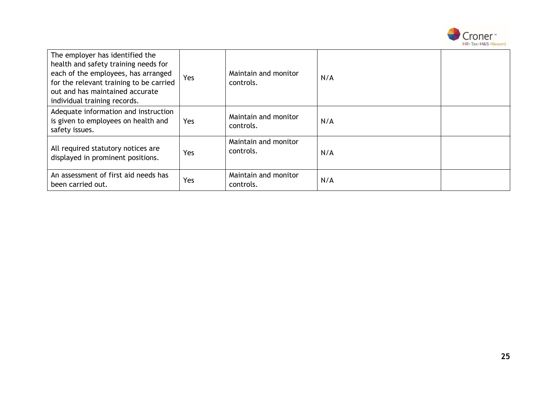

| The employer has identified the<br>health and safety training needs for<br>each of the employees, has arranged<br>for the relevant training to be carried<br>out and has maintained accurate<br>individual training records. | Yes | Maintain and monitor<br>controls. | N/A |  |
|------------------------------------------------------------------------------------------------------------------------------------------------------------------------------------------------------------------------------|-----|-----------------------------------|-----|--|
| Adequate information and instruction<br>is given to employees on health and<br>safety issues.                                                                                                                                | Yes | Maintain and monitor<br>controls. | N/A |  |
| All required statutory notices are<br>displayed in prominent positions.                                                                                                                                                      | Yes | Maintain and monitor<br>controls. | N/A |  |
| An assessment of first aid needs has<br>been carried out.                                                                                                                                                                    | Yes | Maintain and monitor<br>controls. | N/A |  |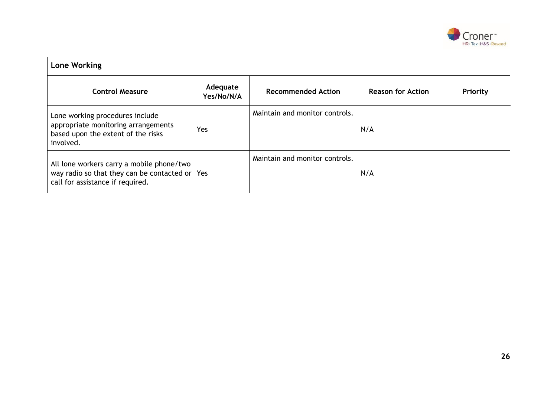

| <b>Lone Working</b>                                                                                                             |                        |                                |                          |          |
|---------------------------------------------------------------------------------------------------------------------------------|------------------------|--------------------------------|--------------------------|----------|
| <b>Control Measure</b>                                                                                                          | Adequate<br>Yes/No/N/A | <b>Recommended Action</b>      | <b>Reason for Action</b> | Priority |
| Lone working procedures include<br>appropriate monitoring arrangements<br>based upon the extent of the risks<br>involved.       | Yes                    | Maintain and monitor controls. | N/A                      |          |
| All lone workers carry a mobile phone/two<br>way radio so that they can be contacted or Yes<br>call for assistance if required. |                        | Maintain and monitor controls. | N/A                      |          |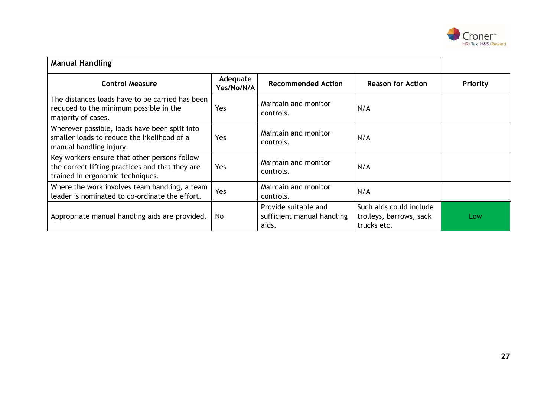

| <b>Manual Handling</b>                                                                                                              |                        |                                                             |                                                                   |          |
|-------------------------------------------------------------------------------------------------------------------------------------|------------------------|-------------------------------------------------------------|-------------------------------------------------------------------|----------|
| <b>Control Measure</b>                                                                                                              | Adequate<br>Yes/No/N/A | <b>Recommended Action</b>                                   | <b>Reason for Action</b>                                          | Priority |
| The distances loads have to be carried has been<br>reduced to the minimum possible in the<br>majority of cases.                     | Yes                    | Maintain and monitor<br>controls.                           | N/A                                                               |          |
| Wherever possible, loads have been split into<br>smaller loads to reduce the likelihood of a<br>manual handling injury.             | Yes                    | Maintain and monitor<br>controls.                           | N/A                                                               |          |
| Key workers ensure that other persons follow<br>the correct lifting practices and that they are<br>trained in ergonomic techniques. | Yes                    | Maintain and monitor<br>controls.                           | N/A                                                               |          |
| Where the work involves team handling, a team<br>leader is nominated to co-ordinate the effort.                                     | Yes                    | Maintain and monitor<br>controls.                           | N/A                                                               |          |
| Appropriate manual handling aids are provided.                                                                                      | No.                    | Provide suitable and<br>sufficient manual handling<br>aids. | Such aids could include<br>trolleys, barrows, sack<br>trucks etc. | Low      |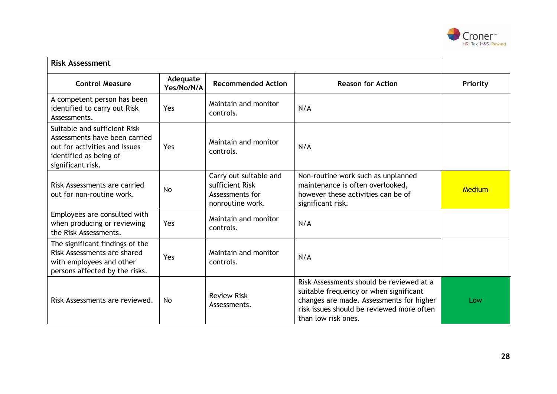

| <b>Risk Assessment</b>                                                                                                                        |                        |                                                                                  |                                                                                                                                                                                                    |          |
|-----------------------------------------------------------------------------------------------------------------------------------------------|------------------------|----------------------------------------------------------------------------------|----------------------------------------------------------------------------------------------------------------------------------------------------------------------------------------------------|----------|
| <b>Control Measure</b>                                                                                                                        | Adequate<br>Yes/No/N/A | <b>Recommended Action</b>                                                        | <b>Reason for Action</b>                                                                                                                                                                           | Priority |
| A competent person has been<br>identified to carry out Risk<br>Assessments.                                                                   | Yes                    | Maintain and monitor<br>controls.                                                | N/A                                                                                                                                                                                                |          |
| Suitable and sufficient Risk<br>Assessments have been carried<br>out for activities and issues<br>identified as being of<br>significant risk. | Yes                    | Maintain and monitor<br>controls.                                                | N/A                                                                                                                                                                                                |          |
| Risk Assessments are carried<br>out for non-routine work.                                                                                     | <b>No</b>              | Carry out suitable and<br>sufficient Risk<br>Assessments for<br>nonroutine work. | Non-routine work such as unplanned<br>maintenance is often overlooked,<br>however these activities can be of<br>significant risk.                                                                  | Medium   |
| Employees are consulted with<br>when producing or reviewing<br>the Risk Assessments.                                                          | Yes                    | Maintain and monitor<br>controls.                                                | N/A                                                                                                                                                                                                |          |
| The significant findings of the<br>Risk Assessments are shared<br>with employees and other<br>persons affected by the risks.                  | Yes                    | Maintain and monitor<br>controls.                                                | N/A                                                                                                                                                                                                |          |
| Risk Assessments are reviewed.                                                                                                                | <b>No</b>              | <b>Review Risk</b><br>Assessments.                                               | Risk Assessments should be reviewed at a<br>suitable frequency or when significant<br>changes are made. Assessments for higher<br>risk issues should be reviewed more often<br>than low risk ones. | Low      |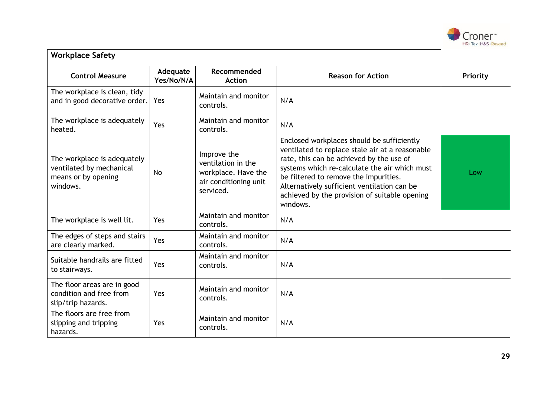

| <b>Workplace Safety</b>                                                                    |                        |                                                                                                |                                                                                                                                                                                                                                                                                                                                                 |          |
|--------------------------------------------------------------------------------------------|------------------------|------------------------------------------------------------------------------------------------|-------------------------------------------------------------------------------------------------------------------------------------------------------------------------------------------------------------------------------------------------------------------------------------------------------------------------------------------------|----------|
| <b>Control Measure</b>                                                                     | Adequate<br>Yes/No/N/A | Recommended<br><b>Action</b>                                                                   | <b>Reason for Action</b>                                                                                                                                                                                                                                                                                                                        | Priority |
| The workplace is clean, tidy<br>and in good decorative order.                              | Yes                    | Maintain and monitor<br>controls.                                                              | N/A                                                                                                                                                                                                                                                                                                                                             |          |
| The workplace is adequately<br>heated.                                                     | Yes                    | Maintain and monitor<br>controls.                                                              | N/A                                                                                                                                                                                                                                                                                                                                             |          |
| The workplace is adequately<br>ventilated by mechanical<br>means or by opening<br>windows. | <b>No</b>              | Improve the<br>ventilation in the<br>workplace. Have the<br>air conditioning unit<br>serviced. | Enclosed workplaces should be sufficiently<br>ventilated to replace stale air at a reasonable<br>rate, this can be achieved by the use of<br>systems which re-calculate the air which must<br>be filtered to remove the impurities.<br>Alternatively sufficient ventilation can be<br>achieved by the provision of suitable opening<br>windows. | Low      |
| The workplace is well lit.                                                                 | Yes                    | Maintain and monitor<br>controls.                                                              | N/A                                                                                                                                                                                                                                                                                                                                             |          |
| The edges of steps and stairs<br>are clearly marked.                                       | Yes                    | Maintain and monitor<br>controls.                                                              | N/A                                                                                                                                                                                                                                                                                                                                             |          |
| Suitable handrails are fitted<br>to stairways.                                             | Yes                    | Maintain and monitor<br>controls.                                                              | N/A                                                                                                                                                                                                                                                                                                                                             |          |
| The floor areas are in good<br>condition and free from<br>slip/trip hazards.               | Yes                    | Maintain and monitor<br>controls.                                                              | N/A                                                                                                                                                                                                                                                                                                                                             |          |
| The floors are free from<br>slipping and tripping<br>hazards.                              | Yes                    | Maintain and monitor<br>controls.                                                              | N/A                                                                                                                                                                                                                                                                                                                                             |          |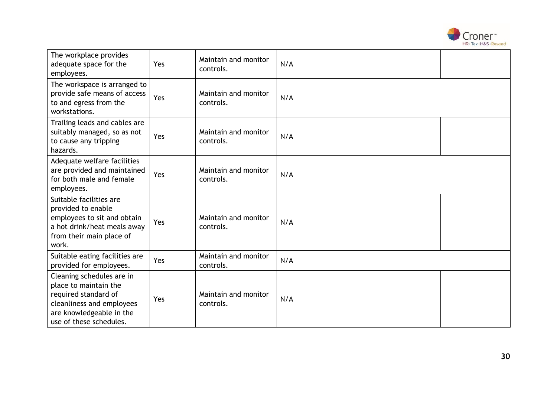

| The workplace provides<br>adequate space for the<br>employees.                                                                                                 | Yes | Maintain and monitor<br>controls. | N/A |  |
|----------------------------------------------------------------------------------------------------------------------------------------------------------------|-----|-----------------------------------|-----|--|
| The workspace is arranged to<br>provide safe means of access<br>to and egress from the<br>workstations.                                                        | Yes | Maintain and monitor<br>controls. | N/A |  |
| Trailing leads and cables are<br>suitably managed, so as not<br>to cause any tripping<br>hazards.                                                              | Yes | Maintain and monitor<br>controls. | N/A |  |
| Adequate welfare facilities<br>are provided and maintained<br>for both male and female<br>employees.                                                           | Yes | Maintain and monitor<br>controls. | N/A |  |
| Suitable facilities are<br>provided to enable<br>employees to sit and obtain<br>a hot drink/heat meals away<br>from their main place of<br>work.               | Yes | Maintain and monitor<br>controls. | N/A |  |
| Suitable eating facilities are<br>provided for employees.                                                                                                      | Yes | Maintain and monitor<br>controls. | N/A |  |
| Cleaning schedules are in<br>place to maintain the<br>required standard of<br>cleanliness and employees<br>are knowledgeable in the<br>use of these schedules. | Yes | Maintain and monitor<br>controls. | N/A |  |